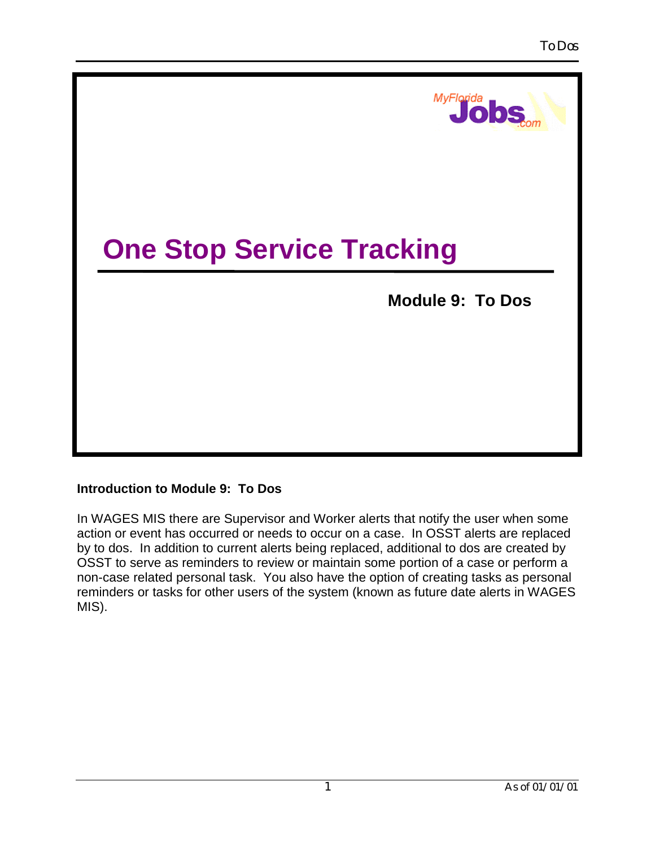

## **Introduction to Module 9: To Dos**

In WAGES MIS there are Supervisor and Worker alerts that notify the user when some action or event has occurred or needs to occur on a case. In OSST alerts are replaced by to dos. In addition to current alerts being replaced, additional to dos are created by OSST to serve as reminders to review or maintain some portion of a case or perform a non-case related personal task. You also have the option of creating tasks as personal reminders or tasks for other users of the system (known as future date alerts in WAGES MIS).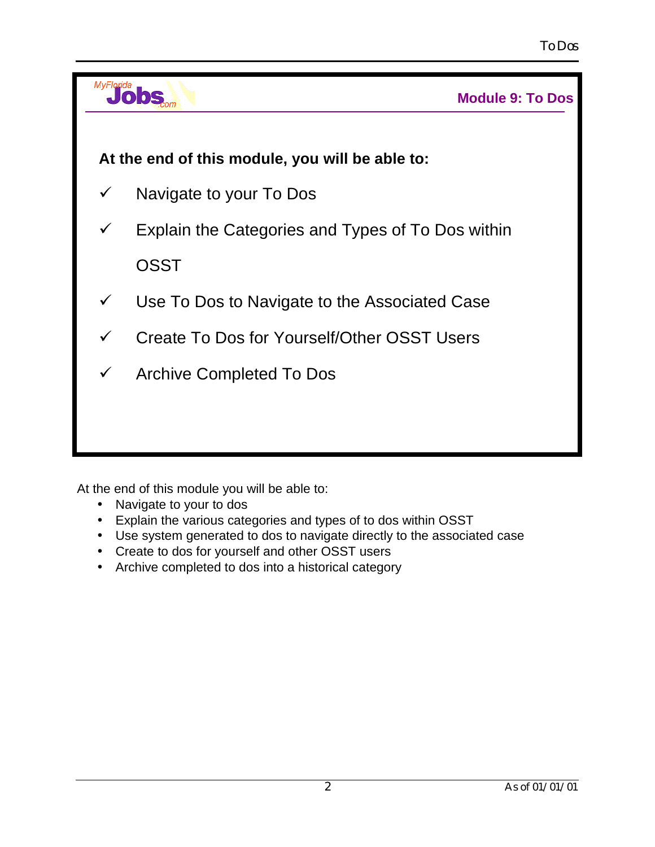

At the end of this module you will be able to:

- Navigate to your to dos
- Explain the various categories and types of to dos within OSST
- Use system generated to dos to navigate directly to the associated case
- Create to dos for yourself and other OSST users
- Archive completed to dos into a historical category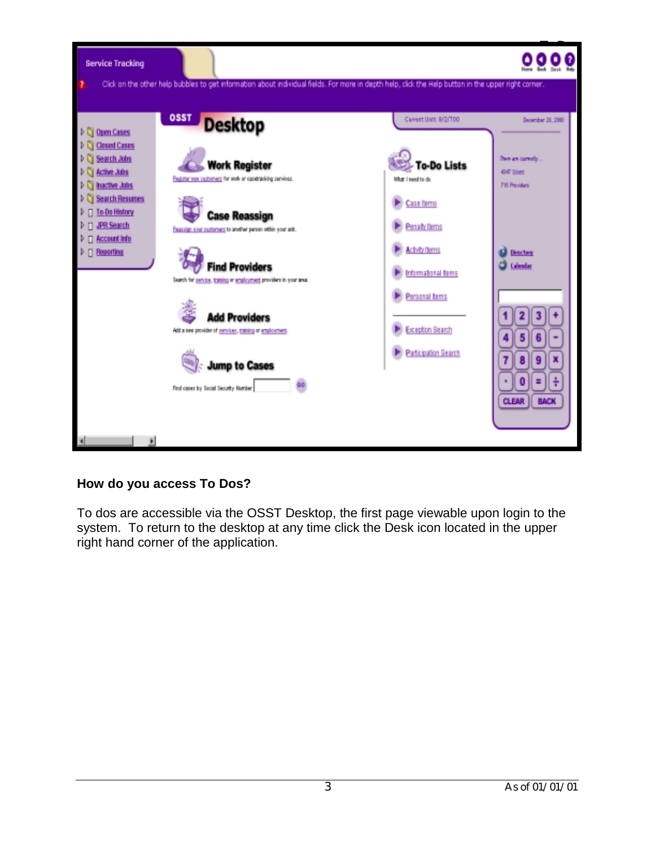

## **How do you access To Dos?**

To dos are accessible via the OSST Desktop, the first page viewable upon login to the system. To return to the desktop at any time click the Desk icon located in the upper right hand corner of the application.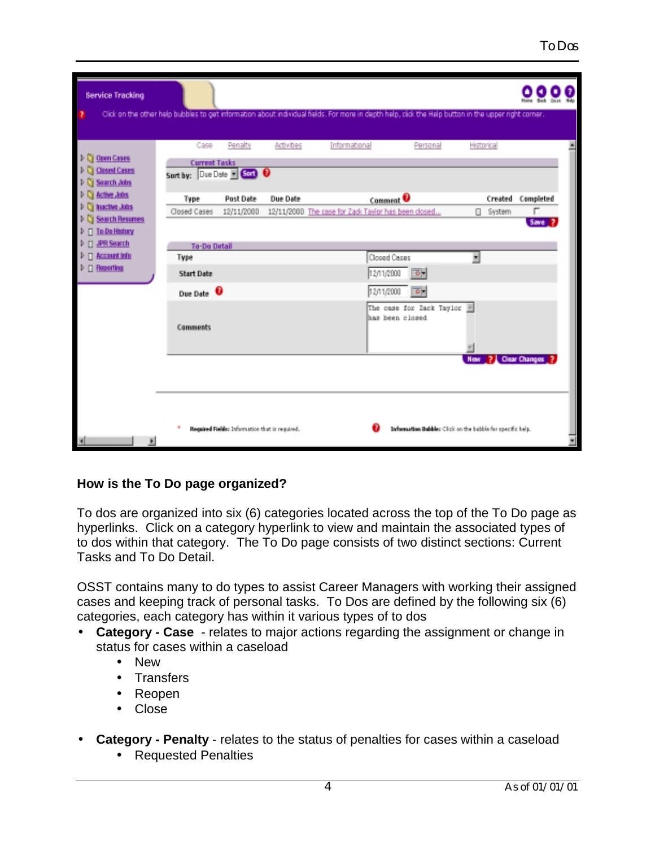| <b>Service Tracking</b>             |                            |                                                |            |                                                                                                                                                     |            |                 |                        |  |
|-------------------------------------|----------------------------|------------------------------------------------|------------|-----------------------------------------------------------------------------------------------------------------------------------------------------|------------|-----------------|------------------------|--|
|                                     |                            |                                                |            | Click on the other help bubbles to get information about individual fields. For more in depth help, click the Help button in the upper right comer. |            |                 |                        |  |
|                                     | Case                       | Penalty                                        | Activities | Informational<br>Personal                                                                                                                           |            | Historical      |                        |  |
| D C Open Cases<br>Ci Closed Cases   | <b>Current Tasks</b>       |                                                |            |                                                                                                                                                     |            |                 |                        |  |
| Search Jobs                         | Sort by: Due Date = Corp 0 |                                                |            |                                                                                                                                                     |            |                 |                        |  |
| Active Jobs<br><b>Inactive Jobs</b> | Type                       | Post Date                                      | Due Date   | Comment <sup>O</sup>                                                                                                                                |            |                 | Created Completed      |  |
| Search Resumes                      | Closed Cases               | 12/11/2000                                     |            | 12/11/2000 The case for Zack Taylor has been closed                                                                                                 |            | □ System        | п<br>Save <sub>2</sub> |  |
| <b>T</b> To-Do History              |                            |                                                |            |                                                                                                                                                     |            |                 |                        |  |
| <b>JPR Search</b>                   | <b>To-Do Detail</b>        |                                                |            |                                                                                                                                                     |            |                 |                        |  |
| <b>Account Info</b>                 | Type                       |                                                |            | Closed Cases                                                                                                                                        |            |                 |                        |  |
| <b>n</b> Reporting                  | <b>Start Date</b>          |                                                |            | 12/11/2000<br>하                                                                                                                                     |            |                 |                        |  |
|                                     | Due Date <sup>O</sup>      |                                                |            | 12/11/2000<br>하                                                                                                                                     |            |                 |                        |  |
|                                     | <b>Comments</b>            |                                                |            | The case for Zack Taylor E<br>has been closed                                                                                                       |            |                 |                        |  |
|                                     |                            |                                                |            |                                                                                                                                                     | <b>Now</b> | 2 Clear Changes |                        |  |
|                                     |                            | Required Fielde: Information that is required. |            | Information Bubble: Click on the bubble for opecific help.                                                                                          |            |                 |                        |  |

## **How is the To Do page organized?**

To dos are organized into six (6) categories located across the top of the To Do page as hyperlinks. Click on a category hyperlink to view and maintain the associated types of to dos within that category. The To Do page consists of two distinct sections: Current Tasks and To Do Detail.

OSST contains many to do types to assist Career Managers with working their assigned cases and keeping track of personal tasks. To Dos are defined by the following six (6) categories, each category has within it various types of to dos

- **Category Case**  relates to major actions regarding the assignment or change in status for cases within a caseload
	- New
	- Transfers
	- Reopen
	- Close
- **Category Penalty** relates to the status of penalties for cases within a caseload
	- Requested Penalties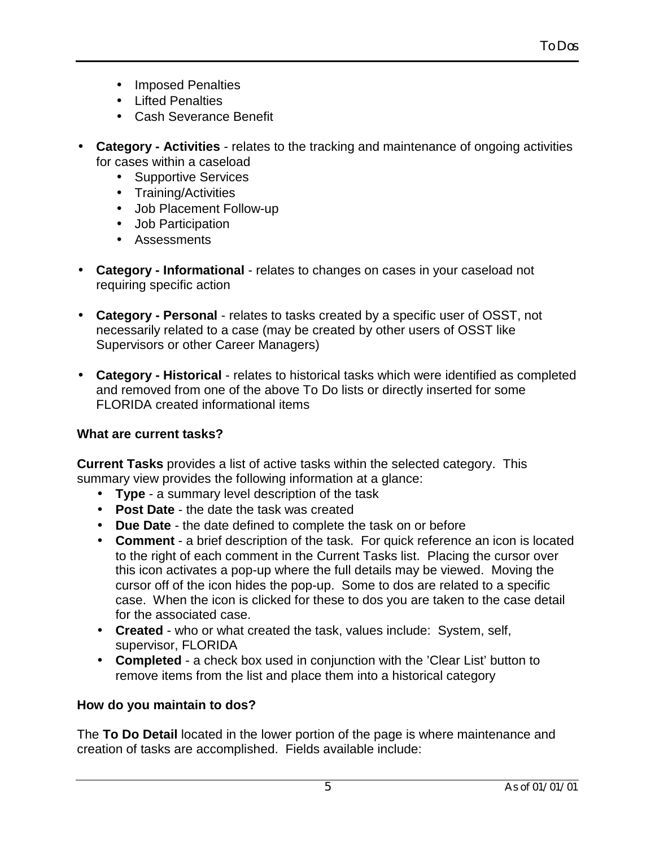- Imposed Penalties
- Lifted Penalties
- Cash Severance Benefit
- **Category Activities** relates to the tracking and maintenance of ongoing activities for cases within a caseload
	- Supportive Services
	- Training/Activities
	- Job Placement Follow-up
	- Job Participation
	- Assessments
- **Category Informational** relates to changes on cases in your caseload not requiring specific action
- **Category Personal** relates to tasks created by a specific user of OSST, not necessarily related to a case (may be created by other users of OSST like Supervisors or other Career Managers)
- **Category Historical** relates to historical tasks which were identified as completed and removed from one of the above To Do lists or directly inserted for some FLORIDA created informational items

## **What are current tasks?**

**Current Tasks** provides a list of active tasks within the selected category. This summary view provides the following information at a glance:

- **Type** a summary level description of the task
- **Post Date** the date the task was created
- **Due Date** the date defined to complete the task on or before
- **Comment** a brief description of the task. For quick reference an icon is located to the right of each comment in the Current Tasks list. Placing the cursor over this icon activates a pop-up where the full details may be viewed. Moving the cursor off of the icon hides the pop-up. Some to dos are related to a specific case. When the icon is clicked for these to dos you are taken to the case detail for the associated case.
- **Created** who or what created the task, values include: System, self, supervisor, FLORIDA
- **Completed** a check box used in conjunction with the 'Clear List' button to remove items from the list and place them into a historical category

## **How do you maintain to dos?**

The **To Do Detail** located in the lower portion of the page is where maintenance and creation of tasks are accomplished. Fields available include: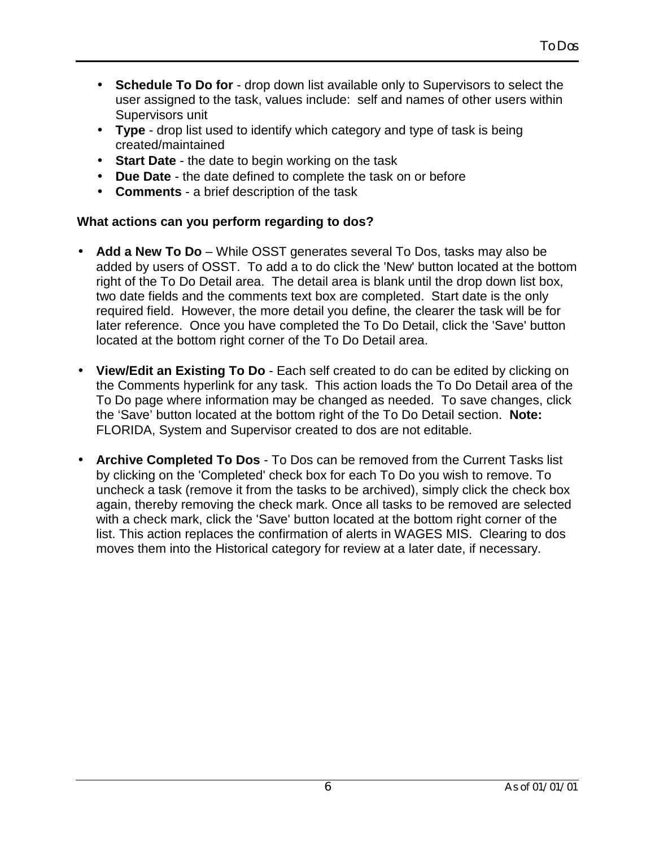- **Schedule To Do for** drop down list available only to Supervisors to select the user assigned to the task, values include: self and names of other users within Supervisors unit
- **Type** drop list used to identify which category and type of task is being created/maintained
- **Start Date** the date to begin working on the task
- **Due Date** the date defined to complete the task on or before
- **Comments** a brief description of the task

## **What actions can you perform regarding to dos?**

- **Add a New To Do** While OSST generates several To Dos, tasks may also be added by users of OSST. To add a to do click the 'New' button located at the bottom right of the To Do Detail area. The detail area is blank until the drop down list box, two date fields and the comments text box are completed. Start date is the only required field. However, the more detail you define, the clearer the task will be for later reference. Once you have completed the To Do Detail, click the 'Save' button located at the bottom right corner of the To Do Detail area.
- **View/Edit an Existing To Do** Each self created to do can be edited by clicking on the Comments hyperlink for any task. This action loads the To Do Detail area of the To Do page where information may be changed as needed. To save changes, click the 'Save' button located at the bottom right of the To Do Detail section. **Note:** FLORIDA, System and Supervisor created to dos are not editable.
- **Archive Completed To Dos** To Dos can be removed from the Current Tasks list by clicking on the 'Completed' check box for each To Do you wish to remove. To uncheck a task (remove it from the tasks to be archived), simply click the check box again, thereby removing the check mark. Once all tasks to be removed are selected with a check mark, click the 'Save' button located at the bottom right corner of the list. This action replaces the confirmation of alerts in WAGES MIS. Clearing to dos moves them into the Historical category for review at a later date, if necessary.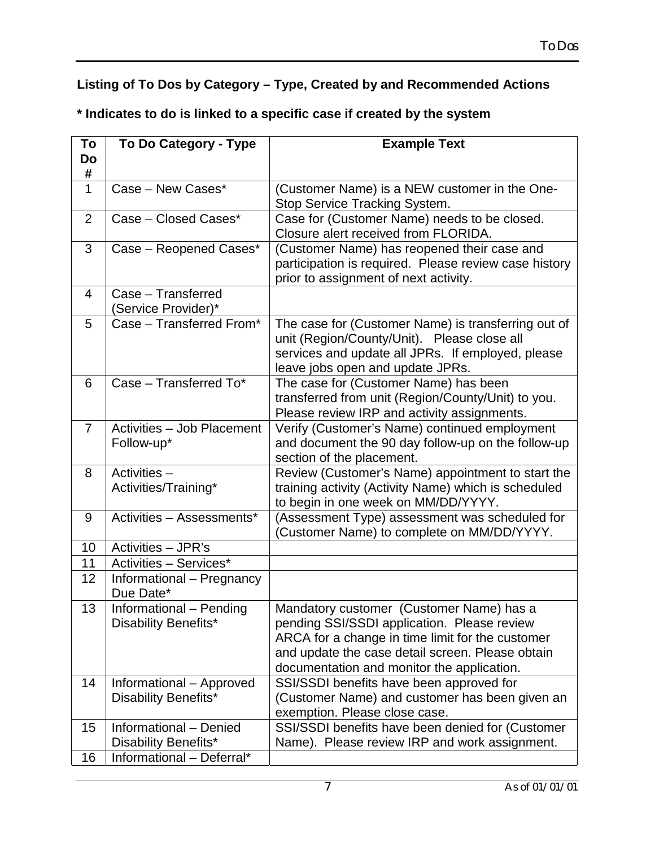## **Listing of To Dos by Category – Type, Created by and Recommended Actions**

**\* Indicates to do is linked to a specific case if created by the system**

| To             | To Do Category - Type      | <b>Example Text</b>                                                            |
|----------------|----------------------------|--------------------------------------------------------------------------------|
| Do             |                            |                                                                                |
| #              |                            |                                                                                |
| $\mathbf 1$    | Case - New Cases*          | (Customer Name) is a NEW customer in the One-                                  |
|                |                            | Stop Service Tracking System.                                                  |
| 2              | Case - Closed Cases*       | Case for (Customer Name) needs to be closed.                                   |
|                |                            | Closure alert received from FLORIDA.                                           |
| 3              | Case - Reopened Cases*     | (Customer Name) has reopened their case and                                    |
|                |                            | participation is required. Please review case history                          |
|                |                            | prior to assignment of next activity.                                          |
| $\overline{4}$ | Case - Transferred         |                                                                                |
|                | (Service Provider)*        |                                                                                |
| 5              | Case - Transferred From*   | The case for (Customer Name) is transferring out of                            |
|                |                            | unit (Region/County/Unit). Please close all                                    |
|                |                            | services and update all JPRs. If employed, please                              |
|                |                            | leave jobs open and update JPRs.                                               |
| 6              | Case - Transferred To*     | The case for (Customer Name) has been                                          |
|                |                            | transferred from unit (Region/County/Unit) to you.                             |
|                |                            | Please review IRP and activity assignments.                                    |
| $\overline{7}$ | Activities - Job Placement | Verify (Customer's Name) continued employment                                  |
|                | Follow-up*                 | and document the 90 day follow-up on the follow-up                             |
| 8              | Activities -               | section of the placement.<br>Review (Customer's Name) appointment to start the |
|                | Activities/Training*       | training activity (Activity Name) which is scheduled                           |
|                |                            | to begin in one week on MM/DD/YYYY.                                            |
| 9              | Activities - Assessments*  | (Assessment Type) assessment was scheduled for                                 |
|                |                            | (Customer Name) to complete on MM/DD/YYYY.                                     |
| 10             | Activities - JPR's         |                                                                                |
| 11             | Activities - Services*     |                                                                                |
| 12             | Informational - Pregnancy  |                                                                                |
|                | Due Date*                  |                                                                                |
| 13             | Informational - Pending    | Mandatory customer (Customer Name) has a                                       |
|                | Disability Benefits*       | pending SSI/SSDI application. Please review                                    |
|                |                            | ARCA for a change in time limit for the customer                               |
|                |                            | and update the case detail screen. Please obtain                               |
|                |                            | documentation and monitor the application.                                     |
| 14             | Informational - Approved   | SSI/SSDI benefits have been approved for                                       |
|                | Disability Benefits*       | (Customer Name) and customer has been given an                                 |
|                |                            | exemption. Please close case.                                                  |
| 15             | Informational - Denied     | SSI/SSDI benefits have been denied for (Customer                               |
|                | Disability Benefits*       | Name). Please review IRP and work assignment.                                  |
| 16             | Informational - Deferral*  |                                                                                |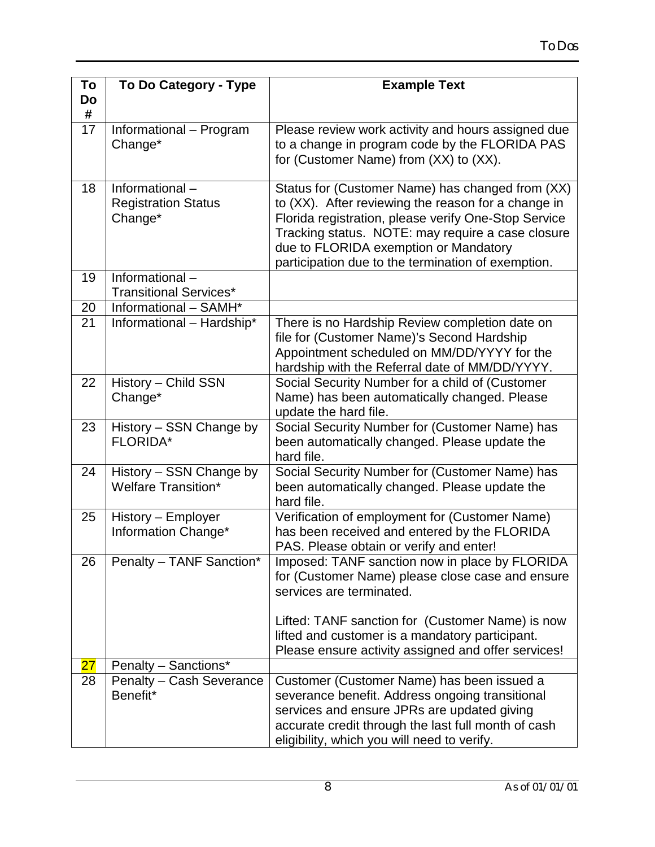| To | To Do Category - Type                                  | <b>Example Text</b>                                          |
|----|--------------------------------------------------------|--------------------------------------------------------------|
| Do |                                                        |                                                              |
| #  |                                                        |                                                              |
| 17 | Informational - Program                                | Please review work activity and hours assigned due           |
|    | Change*                                                | to a change in program code by the FLORIDA PAS               |
|    |                                                        | for (Customer Name) from (XX) to (XX).                       |
| 18 | Informational-                                         | Status for (Customer Name) has changed from (XX)             |
|    | <b>Registration Status</b>                             | to (XX). After reviewing the reason for a change in          |
|    | Change*                                                | Florida registration, please verify One-Stop Service         |
|    |                                                        | Tracking status. NOTE: may require a case closure            |
|    |                                                        | due to FLORIDA exemption or Mandatory                        |
|    |                                                        | participation due to the termination of exemption.           |
| 19 | Informational-                                         |                                                              |
| 20 | <b>Transitional Services*</b><br>Informational - SAMH* |                                                              |
| 21 | Informational - Hardship*                              | There is no Hardship Review completion date on               |
|    |                                                        | file for (Customer Name)'s Second Hardship                   |
|    |                                                        | Appointment scheduled on MM/DD/YYYY for the                  |
|    |                                                        | hardship with the Referral date of MM/DD/YYYY.               |
| 22 | History - Child SSN                                    | Social Security Number for a child of (Customer              |
|    | Change*                                                | Name) has been automatically changed. Please                 |
|    |                                                        | update the hard file.                                        |
| 23 | History - SSN Change by                                | Social Security Number for (Customer Name) has               |
|    | <b>FLORIDA*</b>                                        | been automatically changed. Please update the                |
| 24 | History - SSN Change by                                | hard file.<br>Social Security Number for (Customer Name) has |
|    | <b>Welfare Transition*</b>                             | been automatically changed. Please update the                |
|    |                                                        | hard file.                                                   |
| 25 | History - Employer                                     | Verification of employment for (Customer Name)               |
|    | Information Change*                                    | has been received and entered by the FLORIDA                 |
|    |                                                        | PAS. Please obtain or verify and enter!                      |
| 26 | Penalty - TANF Sanction*                               | Imposed: TANF sanction now in place by FLORIDA               |
|    |                                                        | for (Customer Name) please close case and ensure             |
|    |                                                        | services are terminated.                                     |
|    |                                                        | Lifted: TANF sanction for (Customer Name) is now             |
|    |                                                        | lifted and customer is a mandatory participant.              |
|    |                                                        | Please ensure activity assigned and offer services!          |
| 27 | Penalty - Sanctions*                                   |                                                              |
| 28 | Penalty - Cash Severance                               | Customer (Customer Name) has been issued a                   |
|    | Benefit*                                               | severance benefit. Address ongoing transitional              |
|    |                                                        | services and ensure JPRs are updated giving                  |
|    |                                                        | accurate credit through the last full month of cash          |
|    |                                                        | eligibility, which you will need to verify.                  |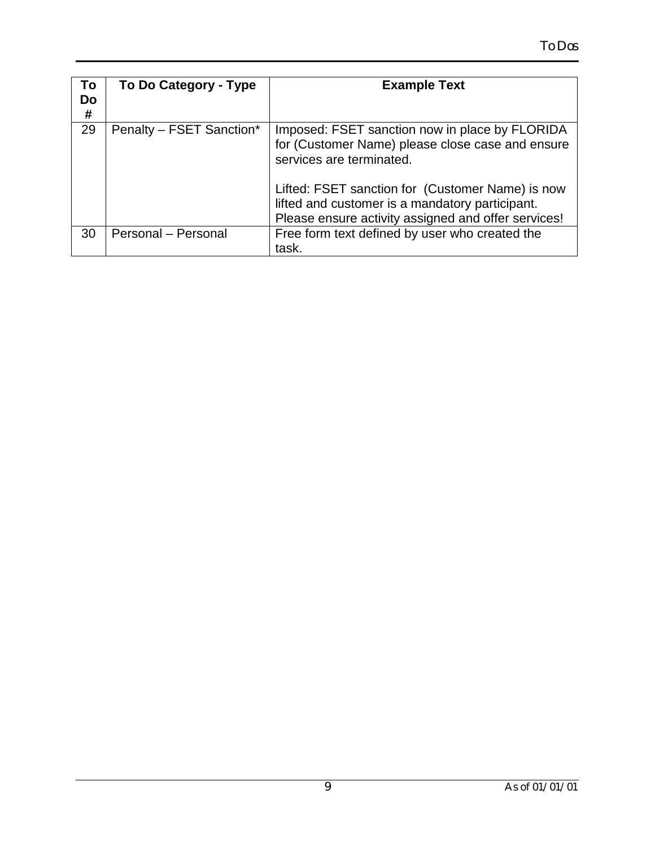| To<br>Do<br># | To Do Category - Type    | <b>Example Text</b>                                                                                                                                                                                                                                                                          |
|---------------|--------------------------|----------------------------------------------------------------------------------------------------------------------------------------------------------------------------------------------------------------------------------------------------------------------------------------------|
| 29            | Penalty - FSET Sanction* | Imposed: FSET sanction now in place by FLORIDA<br>for (Customer Name) please close case and ensure<br>services are terminated.<br>Lifted: FSET sanction for (Customer Name) is now<br>lifted and customer is a mandatory participant.<br>Please ensure activity assigned and offer services! |
| 30            | Personal - Personal      | Free form text defined by user who created the<br>task.                                                                                                                                                                                                                                      |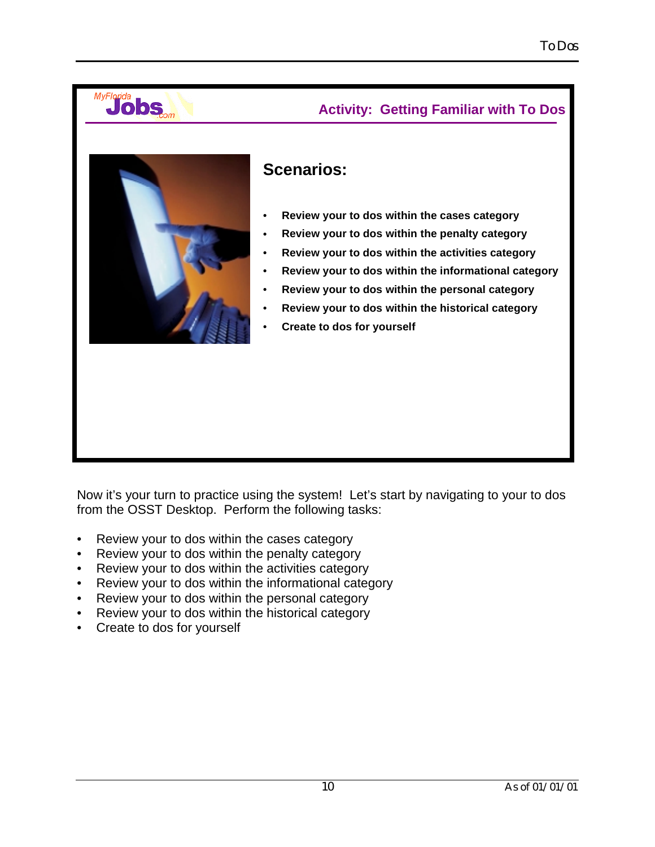

# **Scenarios:**

- • **Review your to dos within the cases category**
- • **Review your to dos within the penalty category**
- • **Review your to dos within the activities category**
- • **Review your to dos within the informational category**

 **Activity: Getting Familiar with To Dos**

- • **Review your to dos within the personal category**
- • **Review your to dos within the historical category**
- • **Create to dos for yourself**

Now it's your turn to practice using the system! Let's start by navigating to your to dos from the OSST Desktop. Perform the following tasks:

- Review your to dos within the cases category
- Review your to dos within the penalty category
- Review your to dos within the activities category
- Review your to dos within the informational category
- Review your to dos within the personal category
- Review your to dos within the historical category
- Create to dos for yourself